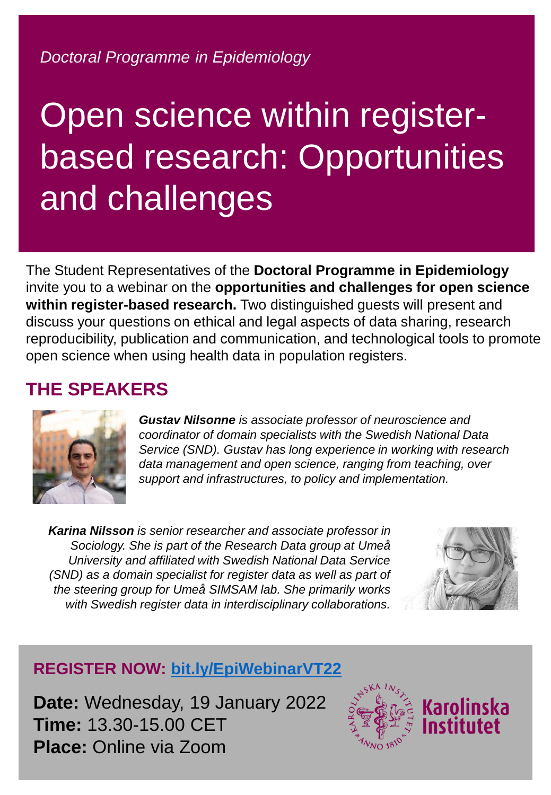*Doctoral Programme in Epidemiology*

# Open science within registerbased research: Opportunities and challenges

The Student Representatives of the **Doctoral Programme in Epidemiology** invite you to a webinar on the **opportunities and challenges for open science within register-based research.** Two distinguished guests will present and discuss your questions on ethical and legal aspects of data sharing, research reproducibility, publication and communication, and technological tools to promote open science when using health data in population registers.

### **THE SPEAKERS**



*Gustav Nilsonne is associate professor of neuroscience and coordinator of domain specialists with the Swedish National Data Service (SND). Gustav has long experience in working with research data management and open science, ranging from teaching, over support and infrastructures, to policy and implementation.*

*Karina Nilsson is senior researcher and associate professor in Sociology. She is part of the Research Data group at Umeå University and affiliated with Swedish National Data Service (SND) as a domain specialist for register data as well as part of the steering group for Umeå SIMSAM lab. She primarily works with Swedish register data in interdisciplinary collaborations.*



### **REGISTER NOW: [bit.ly/EpiWebinarVT22](https://bit.ly/EpiWebinarVT22)**

**Date:** Wednesday, 19 January 2022 **Time:** 13.30-15.00 CET **Place:** Online via Zoom